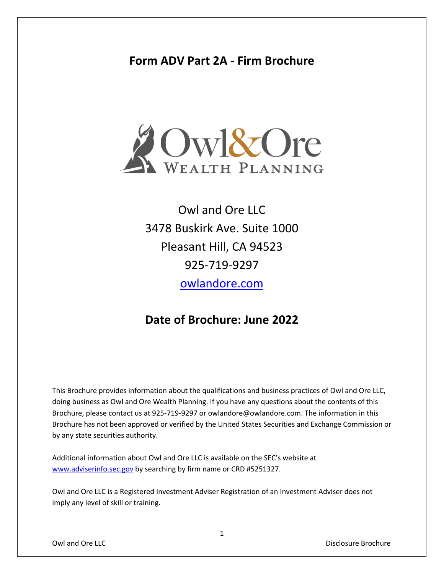# **Form ADV Part 2A - Firm Brochure**



Owl and Ore LLC 3478 Buskirk Ave. Suite 1000 Pleasant Hill, CA 94523 925-719-9297 [owlandore.com](http://www.owlandore.com/)

# **Date of Brochure: June 2022**

This Brochure provides information about the qualifications and business practices of Owl and Ore LLC, doing business as Owl and Ore Wealth Planning. If you have any questions about the contents of this Brochure, please contact us at 925-719-9297 or owlandore@owlandore.com. The information in this Brochure has not been approved or verified by the United States Securities and Exchange Commission or by any state securities authority.

Additional information about Owl and Ore LLC is available on the SEC's website at [www.adviserinfo.sec.gov](http://www.adviserinfo.sec.gov/) by searching by firm name or CRD #5251327.

Owl and Ore LLC is a Registered Investment Adviser Registration of an Investment Adviser does not imply any level of skill or training.

Owl and Ore LLC **Community Community Community Community Community Community Community Community Community Community Community Community Community Community Community Community Community Community Community Community Commu**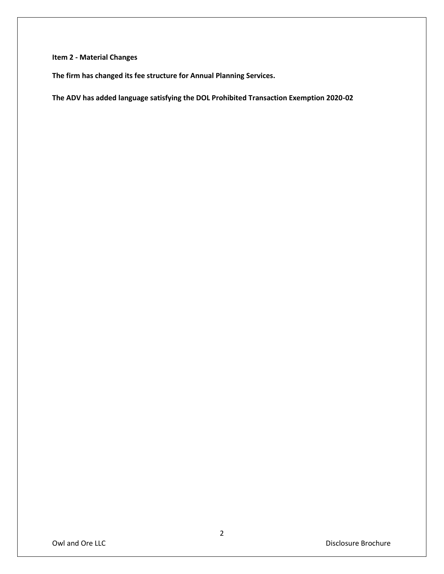## **Item 2 - Material Changes**

**The firm has changed its fee structure for Annual Planning Services.**

**The ADV has added language satisfying the DOL Prohibited Transaction Exemption 2020-02**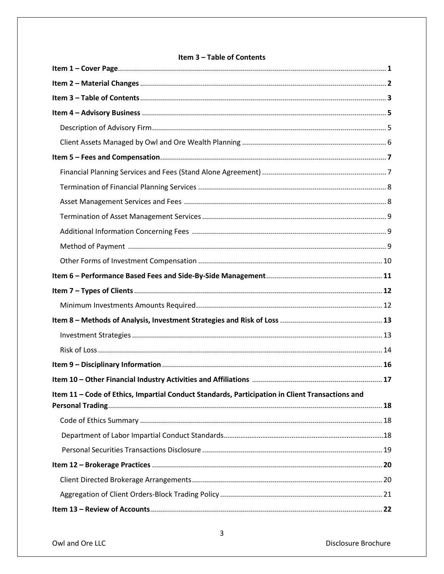## Item 3 - Table of Contents

| Item 11 - Code of Ethics, Impartial Conduct Standards, Participation in Client Transactions and |  |
|-------------------------------------------------------------------------------------------------|--|
|                                                                                                 |  |
|                                                                                                 |  |
|                                                                                                 |  |
|                                                                                                 |  |
|                                                                                                 |  |
|                                                                                                 |  |
|                                                                                                 |  |
|                                                                                                 |  |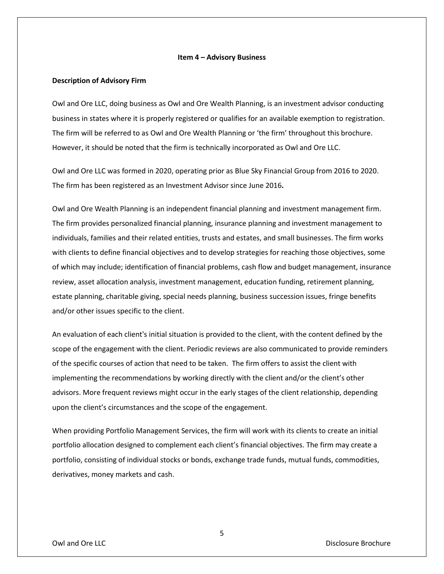#### **Item 4 – Advisory Business**

### **Description of Advisory Firm**

Owl and Ore LLC, doing business as Owl and Ore Wealth Planning, is an investment advisor conducting business in states where it is properly registered or qualifies for an available exemption to registration. The firm will be referred to as Owl and Ore Wealth Planning or 'the firm' throughout this brochure. However, it should be noted that the firm is technically incorporated as Owl and Ore LLC.

Owl and Ore LLC was formed in 2020, operating prior as Blue Sky Financial Group from 2016 to 2020. The firm has been registered as an Investment Advisor since June 2016**.** 

Owl and Ore Wealth Planning is an independent financial planning and investment management firm. The firm provides personalized financial planning, insurance planning and investment management to individuals, families and their related entities, trusts and estates, and small businesses. The firm works with clients to define financial objectives and to develop strategies for reaching those objectives, some of which may include; identification of financial problems, cash flow and budget management, insurance review, asset allocation analysis, investment management, education funding, retirement planning, estate planning, charitable giving, special needs planning, business succession issues, fringe benefits and/or other issues specific to the client.

An evaluation of each client's initial situation is provided to the client, with the content defined by the scope of the engagement with the client. Periodic reviews are also communicated to provide reminders of the specific courses of action that need to be taken. The firm offers to assist the client with implementing the recommendations by working directly with the client and/or the client's other advisors. More frequent reviews might occur in the early stages of the client relationship, depending upon the client's circumstances and the scope of the engagement.

When providing Portfolio Management Services, the firm will work with its clients to create an initial portfolio allocation designed to complement each client's financial objectives. The firm may create a portfolio, consisting of individual stocks or bonds, exchange trade funds, mutual funds, commodities, derivatives, money markets and cash.

5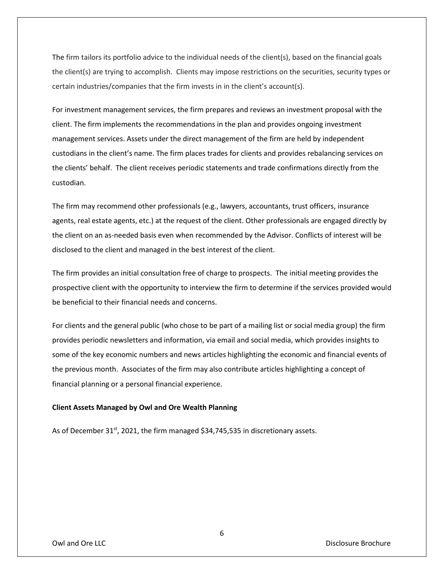The firm tailors its portfolio advice to the individual needs of the client(s), based on the financial goals the client(s) are trying to accomplish. Clients may impose restrictions on the securities, security types or certain industries/companies that the firm invests in in the client's account(s).

For investment management services, the firm prepares and reviews an investment proposal with the client. The firm implements the recommendations in the plan and provides ongoing investment management services. Assets under the direct management of the firm are held by independent custodians in the client's name. The firm places trades for clients and provides rebalancing services on the clients' behalf. The client receives periodic statements and trade confirmations directly from the custodian.

The firm may recommend other professionals (e.g., lawyers, accountants, trust officers, insurance agents, real estate agents, etc.) at the request of the client. Other professionals are engaged directly by the client on an as-needed basis even when recommended by the Advisor. Conflicts of interest will be disclosed to the client and managed in the best interest of the client.

The firm provides an initial consultation free of charge to prospects. The initial meeting provides the prospective client with the opportunity to interview the firm to determine if the services provided would be beneficial to their financial needs and concerns.

For clients and the general public (who chose to be part of a mailing list or social media group) the firm provides periodic newsletters and information, via email and social media, which provides insights to some of the key economic numbers and news articles highlighting the economic and financial events of the previous month. Associates of the firm may also contribute articles highlighting a concept of financial planning or a personal financial experience.

#### **Client Assets Managed by Owl and Ore Wealth Planning**

As of December 31<sup>st</sup>, 2021, the firm managed \$34,745,535 in discretionary assets.

Owl and Ore LLC **Community Community Community Community Community Community Community Community Community Community Community Community Community Community Community Community Community Community Community Community Commu**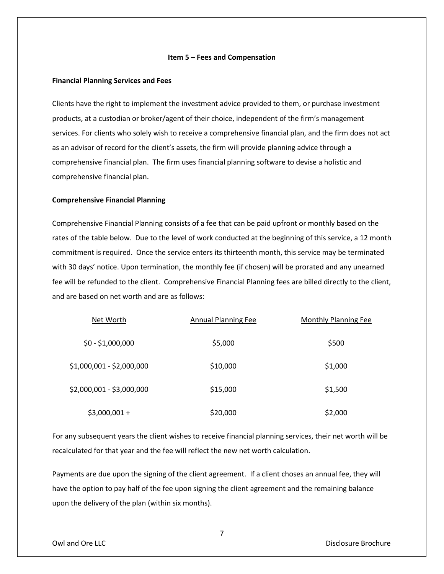#### **Item 5 – Fees and Compensation**

### **Financial Planning Services and Fees**

Clients have the right to implement the investment advice provided to them, or purchase investment products, at a custodian or broker/agent of their choice, independent of the firm's management services. For clients who solely wish to receive a comprehensive financial plan, and the firm does not act as an advisor of record for the client's assets, the firm will provide planning advice through a comprehensive financial plan. The firm uses financial planning software to devise a holistic and comprehensive financial plan.

#### **Comprehensive Financial Planning**

Comprehensive Financial Planning consists of a fee that can be paid upfront or monthly based on the rates of the table below. Due to the level of work conducted at the beginning of this service, a 12 month commitment is required. Once the service enters its thirteenth month, this service may be terminated with 30 days' notice. Upon termination, the monthly fee (if chosen) will be prorated and any unearned fee will be refunded to the client. Comprehensive Financial Planning fees are billed directly to the client, and are based on net worth and are as follows:

| Net Worth                 | <b>Annual Planning Fee</b> | <b>Monthly Planning Fee</b> |
|---------------------------|----------------------------|-----------------------------|
| $$0 - $1,000,000$         | \$5,000                    | \$500                       |
| \$1,000,001 - \$2,000,000 | \$10,000                   | \$1,000                     |
| \$2,000,001 - \$3,000,000 | \$15,000                   | \$1,500                     |
| $$3,000,001 +$            | \$20,000                   | \$2,000                     |

For any subsequent years the client wishes to receive financial planning services, their net worth will be recalculated for that year and the fee will reflect the new net worth calculation.

Payments are due upon the signing of the client agreement. If a client choses an annual fee, they will have the option to pay half of the fee upon signing the client agreement and the remaining balance upon the delivery of the plan (within six months).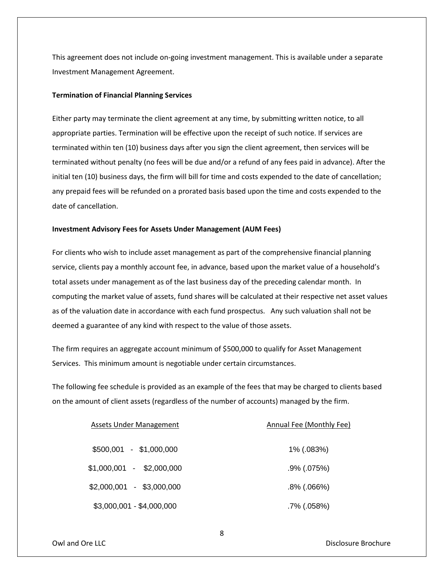This agreement does not include on-going investment management. This is available under a separate Investment Management Agreement.

## **Termination of Financial Planning Services**

Either party may terminate the client agreement at any time, by submitting written notice, to all appropriate parties. Termination will be effective upon the receipt of such notice. If services are terminated within ten (10) business days after you sign the client agreement, then services will be terminated without penalty (no fees will be due and/or a refund of any fees paid in advance). After the initial ten (10) business days, the firm will bill for time and costs expended to the date of cancellation; any prepaid fees will be refunded on a prorated basis based upon the time and costs expended to the date of cancellation.

#### **Investment Advisory Fees for Assets Under Management (AUM Fees)**

For clients who wish to include asset management as part of the comprehensive financial planning service, clients pay a monthly account fee, in advance, based upon the market value of a household's total assets under management as of the last business day of the preceding calendar month. In computing the market value of assets, fund shares will be calculated at their respective net asset values as of the valuation date in accordance with each fund prospectus. Any such valuation shall not be deemed a guarantee of any kind with respect to the value of those assets.

The firm requires an aggregate account minimum of \$500,000 to qualify for Asset Management Services. This minimum amount is negotiable under certain circumstances.

The following fee schedule is provided as an example of the fees that may be charged to clients based on the amount of client assets (regardless of the number of accounts) managed by the firm.

| Assets Under Management   | Annual Fee (Monthly Fee) |
|---------------------------|--------------------------|
| \$500,001 - \$1,000,000   | 1% (.083%)               |
| $$1,000,001 - $2,000,000$ | $.9\%$ (.075%)           |
| $$2,000,001 - $3,000,000$ | $.8\%$ (.066%)           |
| \$3,000,001 - \$4,000,000 | .7% (.058%)              |

Owl and Ore LLC **Community Community Community Community Community Community Community Community Community Community Community Community Community Community Community Community Community Community Community Community Commu**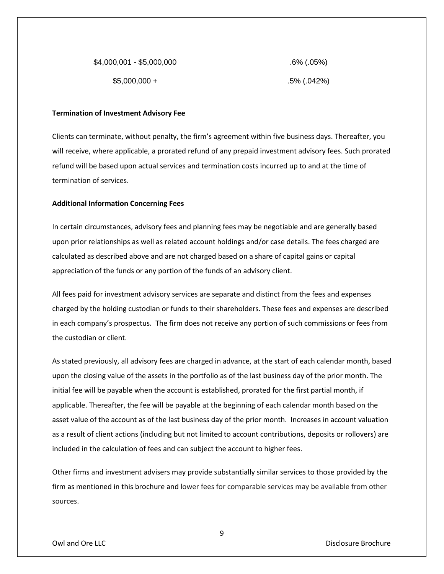| \$4,000,001 - \$5,000,000 | $.6\%$ (.05%) |
|---------------------------|---------------|
| $$5,000,000 +$            | .5% (.042%)   |

#### **Termination of Investment Advisory Fee**

Clients can terminate, without penalty, the firm's agreement within five business days. Thereafter, you will receive, where applicable, a prorated refund of any prepaid investment advisory fees. Such prorated refund will be based upon actual services and termination costs incurred up to and at the time of termination of services.

## **Additional Information Concerning Fees**

In certain circumstances, advisory fees and planning fees may be negotiable and are generally based upon prior relationships as well as related account holdings and/or case details. The fees charged are calculated as described above and are not charged based on a share of capital gains or capital appreciation of the funds or any portion of the funds of an advisory client.

All fees paid for investment advisory services are separate and distinct from the fees and expenses charged by the holding custodian or funds to their shareholders. These fees and expenses are described in each company's prospectus. The firm does not receive any portion of such commissions or fees from the custodian or client.

As stated previously, all advisory fees are charged in advance, at the start of each calendar month, based upon the closing value of the assets in the portfolio as of the last business day of the prior month. The initial fee will be payable when the account is established, prorated for the first partial month, if applicable. Thereafter, the fee will be payable at the beginning of each calendar month based on the asset value of the account as of the last business day of the prior month. Increases in account valuation as a result of client actions (including but not limited to account contributions, deposits or rollovers) are included in the calculation of fees and can subject the account to higher fees.

Other firms and investment advisers may provide substantially similar services to those provided by the firm as mentioned in this brochure and lower fees for comparable services may be available from other sources.

Owl and Ore LLC **Community Community Community Community Community Community Community Community Community Community Community Community Community Community Community Community Community Community Community Community Commu** 

9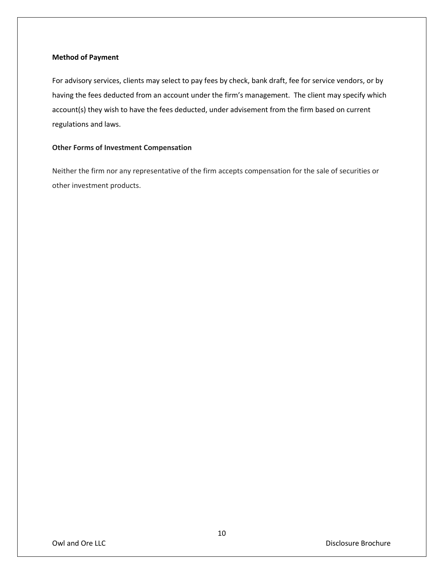## **Method of Payment**

For advisory services, clients may select to pay fees by check, bank draft, fee for service vendors, or by having the fees deducted from an account under the firm's management. The client may specify which account(s) they wish to have the fees deducted, under advisement from the firm based on current regulations and laws.

## **Other Forms of Investment Compensation**

Neither the firm nor any representative of the firm accepts compensation for the sale of securities or other investment products.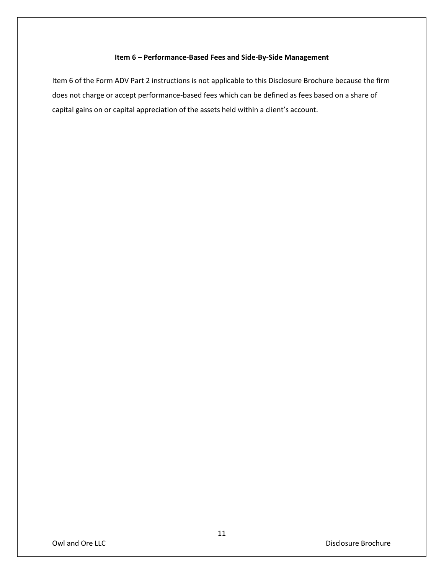## **Item 6 – Performance-Based Fees and Side-By-Side Management**

Item 6 of the Form ADV Part 2 instructions is not applicable to this Disclosure Brochure because the firm does not charge or accept performance-based fees which can be defined as fees based on a share of capital gains on or capital appreciation of the assets held within a client's account.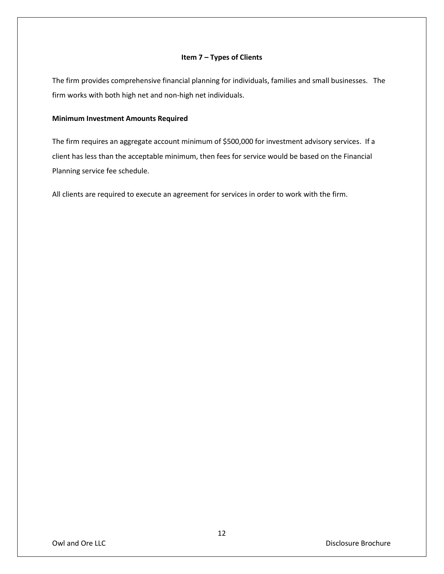## **Item 7 – Types of Clients**

The firm provides comprehensive financial planning for individuals, families and small businesses. The firm works with both high net and non-high net individuals.

## **Minimum Investment Amounts Required**

The firm requires an aggregate account minimum of \$500,000 for investment advisory services. If a client has less than the acceptable minimum, then fees for service would be based on the Financial Planning service fee schedule.

All clients are required to execute an agreement for services in order to work with the firm.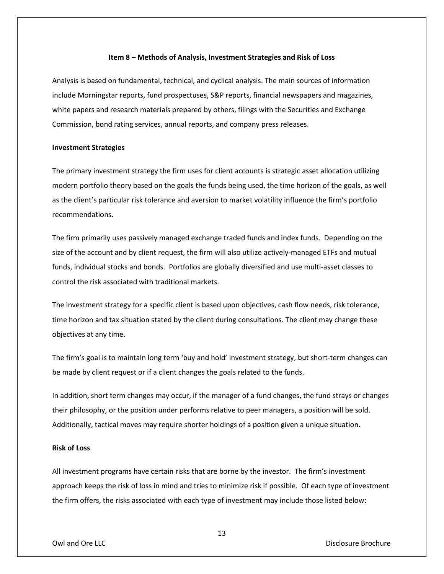#### **Item 8 – Methods of Analysis, Investment Strategies and Risk of Loss**

Analysis is based on fundamental, technical, and cyclical analysis. The main sources of information include Morningstar reports, fund prospectuses, S&P reports, financial newspapers and magazines, white papers and research materials prepared by others, filings with the Securities and Exchange Commission, bond rating services, annual reports, and company press releases.

## **Investment Strategies**

The primary investment strategy the firm uses for client accounts is strategic asset allocation utilizing modern portfolio theory based on the goals the funds being used, the time horizon of the goals, as well as the client's particular risk tolerance and aversion to market volatility influence the firm's portfolio recommendations.

The firm primarily uses passively managed exchange traded funds and index funds. Depending on the size of the account and by client request, the firm will also utilize actively-managed ETFs and mutual funds, individual stocks and bonds. Portfolios are globally diversified and use multi-asset classes to control the risk associated with traditional markets.

The investment strategy for a specific client is based upon objectives, cash flow needs, risk tolerance, time horizon and tax situation stated by the client during consultations. The client may change these objectives at any time.

The firm's goal is to maintain long term 'buy and hold' investment strategy, but short-term changes can be made by client request or if a client changes the goals related to the funds.

In addition, short term changes may occur, if the manager of a fund changes, the fund strays or changes their philosophy, or the position under performs relative to peer managers, a position will be sold. Additionally, tactical moves may require shorter holdings of a position given a unique situation.

### **Risk of Loss**

All investment programs have certain risks that are borne by the investor. The firm's investment approach keeps the risk of loss in mind and tries to minimize risk if possible. Of each type of investment the firm offers, the risks associated with each type of investment may include those listed below:

13

Owl and Ore LLC **Community Community Community Community Community Community Community Community Community Community Community Community Community Community Community Community Community Community Community Community Commu**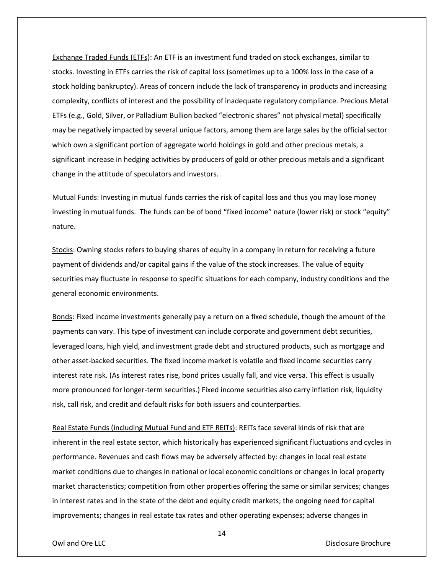Exchange Traded Funds (ETFs): An ETF is an investment fund traded on stock exchanges, similar to stocks. Investing in ETFs carries the risk of capital loss (sometimes up to a 100% loss in the case of a stock holding bankruptcy). Areas of concern include the lack of transparency in products and increasing complexity, conflicts of interest and the possibility of inadequate regulatory compliance. Precious Metal ETFs (e.g., Gold, Silver, or Palladium Bullion backed "electronic shares" not physical metal) specifically may be negatively impacted by several unique factors, among them are large sales by the official sector which own a significant portion of aggregate world holdings in gold and other precious metals, a significant increase in hedging activities by producers of gold or other precious metals and a significant change in the attitude of speculators and investors.

Mutual Funds: Investing in mutual funds carries the risk of capital loss and thus you may lose money investing in mutual funds. The funds can be of bond "fixed income" nature (lower risk) or stock "equity" nature.

Stocks: Owning stocks refers to buying shares of equity in a company in return for receiving a future payment of dividends and/or capital gains if the value of the stock increases. The value of equity securities may fluctuate in response to specific situations for each company, industry conditions and the general economic environments.

Bonds: Fixed income investments generally pay a return on a fixed schedule, though the amount of the payments can vary. This type of investment can include corporate and government debt securities, leveraged loans, high yield, and investment grade debt and structured products, such as mortgage and other asset-backed securities. The fixed income market is volatile and fixed income securities carry interest rate risk. (As interest rates rise, bond prices usually fall, and vice versa. This effect is usually more pronounced for longer-term securities.) Fixed income securities also carry inflation risk, liquidity risk, call risk, and credit and default risks for both issuers and counterparties.

Real Estate Funds (including Mutual Fund and ETF REITs): REITs face several kinds of risk that are inherent in the real estate sector, which historically has experienced significant fluctuations and cycles in performance. Revenues and cash flows may be adversely affected by: changes in local real estate market conditions due to changes in national or local economic conditions or changes in local property market characteristics; competition from other properties offering the same or similar services; changes in interest rates and in the state of the debt and equity credit markets; the ongoing need for capital improvements; changes in real estate tax rates and other operating expenses; adverse changes in

14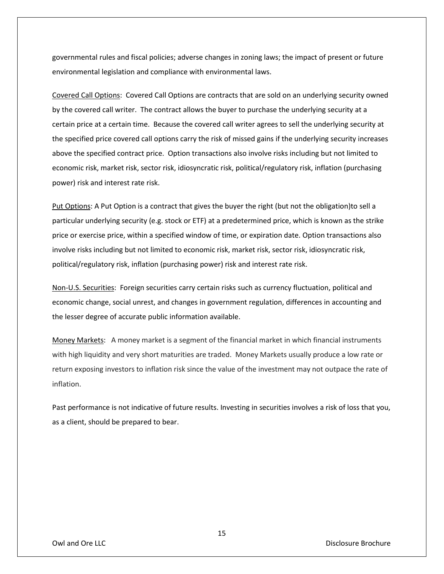governmental rules and fiscal policies; adverse changes in zoning laws; the impact of present or future environmental legislation and compliance with environmental laws.

Covered Call Options: Covered Call Options are contracts that are sold on an underlying security owned by the covered call writer. The contract allows the buyer to purchase the underlying security at a certain price at a certain time. Because the covered call writer agrees to sell the underlying security at the specified price covered call options carry the risk of missed gains if the underlying security increases above the specified contract price. Option transactions also involve risks including but not limited to economic risk, market risk, sector risk, idiosyncratic risk, political/regulatory risk, inflation (purchasing power) risk and interest rate risk.

Put Options: A Put Option is a contract that gives the buyer the right (but not the obligation)to sell a particular underlying security (e.g. stock or ETF) at a predetermined price, which is known as the strike price or exercise price, within a specified window of time, or expiration date. Option transactions also involve risks including but not limited to economic risk, market risk, sector risk, idiosyncratic risk, political/regulatory risk, inflation (purchasing power) risk and interest rate risk.

Non-U.S. Securities: Foreign securities carry certain risks such as currency fluctuation, political and economic change, social unrest, and changes in government regulation, differences in accounting and the lesser degree of accurate public information available.

Money Markets: A money market is a segment of the financial market in which financial instruments with high liquidity and very short maturities are traded. Money Markets usually produce a low rate or return exposing investors to inflation risk since the value of the investment may not outpace the rate of inflation.

Past performance is not indicative of future results. Investing in securities involves a risk of loss that you, as a client, should be prepared to bear.

Owl and Ore LLC **Community Community Community Community Community Community Community Community Community Community Community Community Community Community Community Community Community Community Community Community Commu**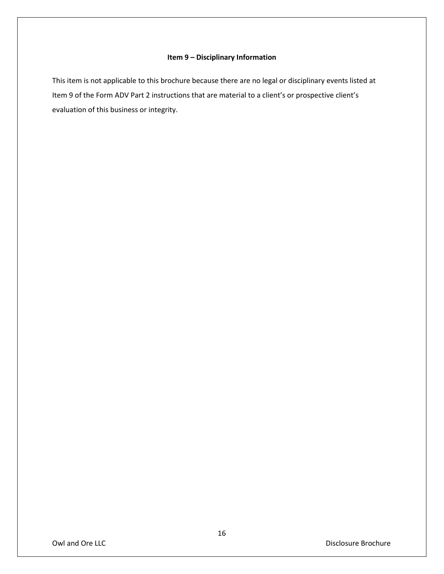## **Item 9 – Disciplinary Information**

This item is not applicable to this brochure because there are no legal or disciplinary events listed at Item 9 of the Form ADV Part 2 instructions that are material to a client's or prospective client's evaluation of this business or integrity.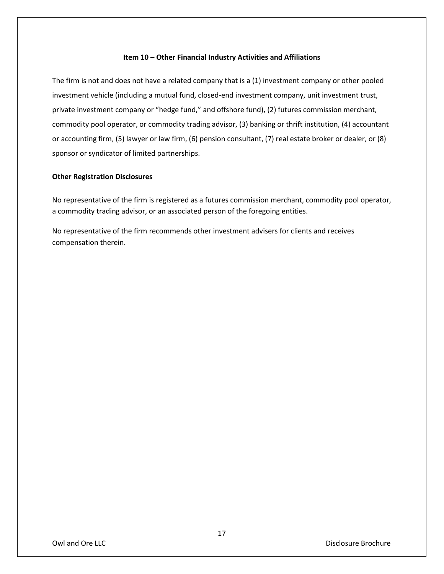## **Item 10 – Other Financial Industry Activities and Affiliations**

The firm is not and does not have a related company that is a (1) investment company or other pooled investment vehicle (including a mutual fund, closed-end investment company, unit investment trust, private investment company or "hedge fund," and offshore fund), (2) futures commission merchant, commodity pool operator, or commodity trading advisor, (3) banking or thrift institution, (4) accountant or accounting firm, (5) lawyer or law firm, (6) pension consultant, (7) real estate broker or dealer, or (8) sponsor or syndicator of limited partnerships.

## **Other Registration Disclosures**

No representative of the firm is registered as a futures commission merchant, commodity pool operator, a commodity trading advisor, or an associated person of the foregoing entities.

No representative of the firm recommends other investment advisers for clients and receives compensation therein.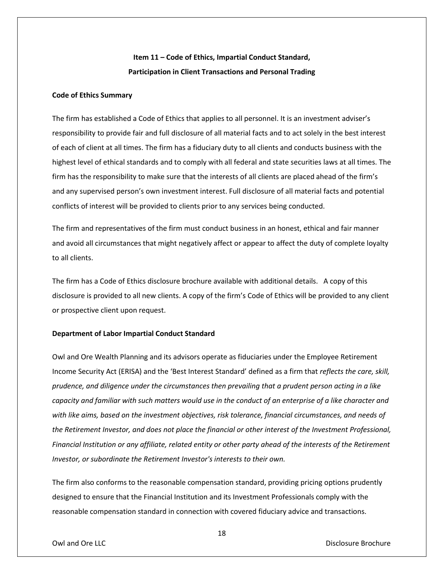# **Item 11 – Code of Ethics, Impartial Conduct Standard, Participation in Client Transactions and Personal Trading**

## **Code of Ethics Summary**

The firm has established a Code of Ethics that applies to all personnel. It is an investment adviser's responsibility to provide fair and full disclosure of all material facts and to act solely in the best interest of each of client at all times. The firm has a fiduciary duty to all clients and conducts business with the highest level of ethical standards and to comply with all federal and state securities laws at all times. The firm has the responsibility to make sure that the interests of all clients are placed ahead of the firm's and any supervised person's own investment interest. Full disclosure of all material facts and potential conflicts of interest will be provided to clients prior to any services being conducted.

The firm and representatives of the firm must conduct business in an honest, ethical and fair manner and avoid all circumstances that might negatively affect or appear to affect the duty of complete loyalty to all clients.

The firm has a Code of Ethics disclosure brochure available with additional details. A copy of this disclosure is provided to all new clients. A copy of the firm's Code of Ethics will be provided to any client or prospective client upon request.

#### **Department of Labor Impartial Conduct Standard**

Owl and Ore Wealth Planning and its advisors operate as fiduciaries under the Employee Retirement Income Security Act (ERISA) and the 'Best Interest Standard' defined as a firm that *reflects the care, skill, prudence, and diligence under the circumstances then prevailing that a prudent person acting in a like capacity and familiar with such matters would use in the conduct of an enterprise of a like character and with like aims, based on the investment objectives, risk tolerance, financial circumstances, and needs of the Retirement Investor, and does not place the financial or other interest of the Investment Professional, Financial Institution or any affiliate, related entity or other party ahead of the interests of the Retirement Investor, or subordinate the Retirement Investor's interests to their own.*

The firm also conforms to the reasonable compensation standard, providing pricing options prudently designed to ensure that the Financial Institution and its Investment Professionals comply with the reasonable compensation standard in connection with covered fiduciary advice and transactions.

18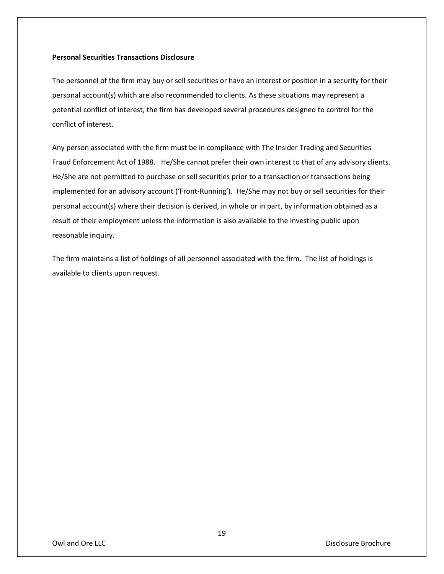## **Personal Securities Transactions Disclosure**

The personnel of the firm may buy or sell securities or have an interest or position in a security for their personal account(s) which are also recommended to clients. As these situations may represent a potential conflict of interest, the firm has developed several procedures designed to control for the conflict of interest.

Any person associated with the firm must be in compliance with The Insider Trading and Securities Fraud Enforcement Act of 1988. He/She cannot prefer their own interest to that of any advisory clients. He/She are not permitted to purchase or sell securities prior to a transaction or transactions being implemented for an advisory account ('Front-Running'). He/She may not buy or sell securities for their personal account(s) where their decision is derived, in whole or in part, by information obtained as a result of their employment unless the information is also available to the investing public upon reasonable inquiry.

The firm maintains a list of holdings of all personnel associated with the firm. The list of holdings is available to clients upon request.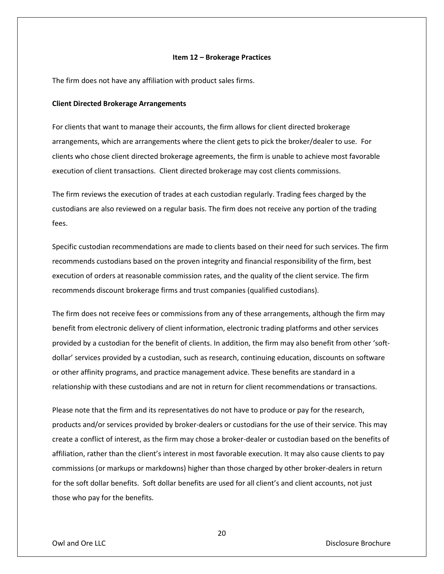#### **Item 12 – Brokerage Practices**

The firm does not have any affiliation with product sales firms.

### **Client Directed Brokerage Arrangements**

For clients that want to manage their accounts, the firm allows for client directed brokerage arrangements, which are arrangements where the client gets to pick the broker/dealer to use. For clients who chose client directed brokerage agreements, the firm is unable to achieve most favorable execution of client transactions. Client directed brokerage may cost clients commissions.

The firm reviews the execution of trades at each custodian regularly. Trading fees charged by the custodians are also reviewed on a regular basis. The firm does not receive any portion of the trading fees.

Specific custodian recommendations are made to clients based on their need for such services. The firm recommends custodians based on the proven integrity and financial responsibility of the firm, best execution of orders at reasonable commission rates, and the quality of the client service. The firm recommends discount brokerage firms and trust companies (qualified custodians).

The firm does not receive fees or commissions from any of these arrangements, although the firm may benefit from electronic delivery of client information, electronic trading platforms and other services provided by a custodian for the benefit of clients. In addition, the firm may also benefit from other 'softdollar' services provided by a custodian, such as research, continuing education, discounts on software or other affinity programs, and practice management advice. These benefits are standard in a relationship with these custodians and are not in return for client recommendations or transactions.

Please note that the firm and its representatives do not have to produce or pay for the research, products and/or services provided by broker-dealers or custodians for the use of their service. This may create a conflict of interest, as the firm may chose a broker-dealer or custodian based on the benefits of affiliation, rather than the client's interest in most favorable execution. It may also cause clients to pay commissions (or markups or markdowns) higher than those charged by other broker-dealers in return for the soft dollar benefits. Soft dollar benefits are used for all client's and client accounts, not just those who pay for the benefits.

Owl and Ore LLC **Community Community Community Community Community Community Community Community Community Community Community Community Community Community Community Community Community Community Community Community Commu** 

20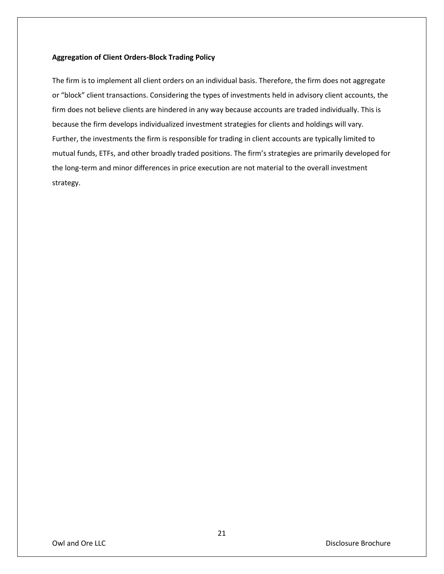## **Aggregation of Client Orders-Block Trading Policy**

The firm is to implement all client orders on an individual basis. Therefore, the firm does not aggregate or "block" client transactions. Considering the types of investments held in advisory client accounts, the firm does not believe clients are hindered in any way because accounts are traded individually. This is because the firm develops individualized investment strategies for clients and holdings will vary. Further, the investments the firm is responsible for trading in client accounts are typically limited to mutual funds, ETFs, and other broadly traded positions. The firm's strategies are primarily developed for the long-term and minor differences in price execution are not material to the overall investment strategy.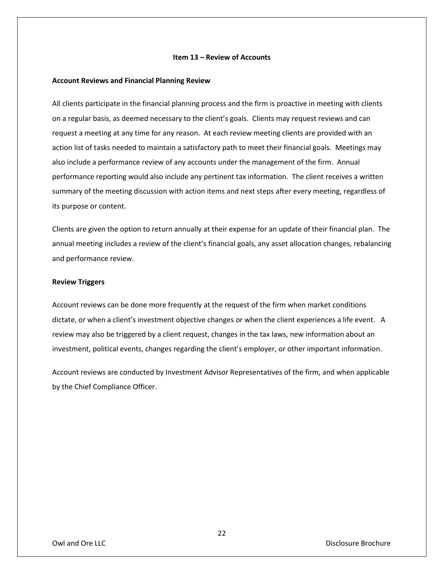### **Item 13 – Review of Accounts**

#### **Account Reviews and Financial Planning Review**

All clients participate in the financial planning process and the firm is proactive in meeting with clients on a regular basis, as deemed necessary to the client's goals. Clients may request reviews and can request a meeting at any time for any reason. At each review meeting clients are provided with an action list of tasks needed to maintain a satisfactory path to meet their financial goals. Meetings may also include a performance review of any accounts under the management of the firm. Annual performance reporting would also include any pertinent tax information. The client receives a written summary of the meeting discussion with action items and next steps after every meeting, regardless of its purpose or content.

Clients are given the option to return annually at their expense for an update of their financial plan. The annual meeting includes a review of the client's financial goals, any asset allocation changes, rebalancing and performance review.

#### **Review Triggers**

Account reviews can be done more frequently at the request of the firm when market conditions dictate, or when a client's investment objective changes or when the client experiences a life event. A review may also be triggered by a client request, changes in the tax laws, new information about an investment, political events, changes regarding the client's employer, or other important information.

Account reviews are conducted by Investment Advisor Representatives of the firm, and when applicable by the Chief Compliance Officer.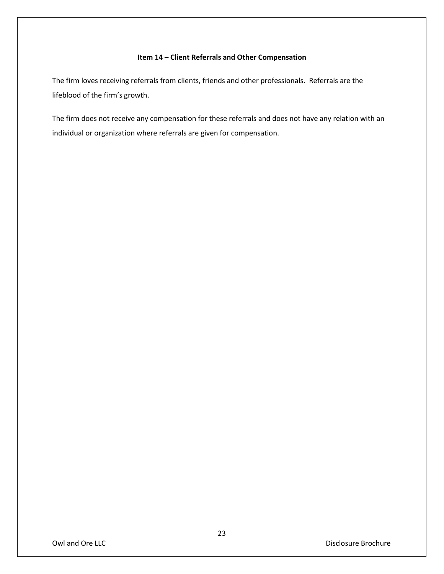## **Item 14 – Client Referrals and Other Compensation**

The firm loves receiving referrals from clients, friends and other professionals. Referrals are the lifeblood of the firm's growth.

The firm does not receive any compensation for these referrals and does not have any relation with an individual or organization where referrals are given for compensation.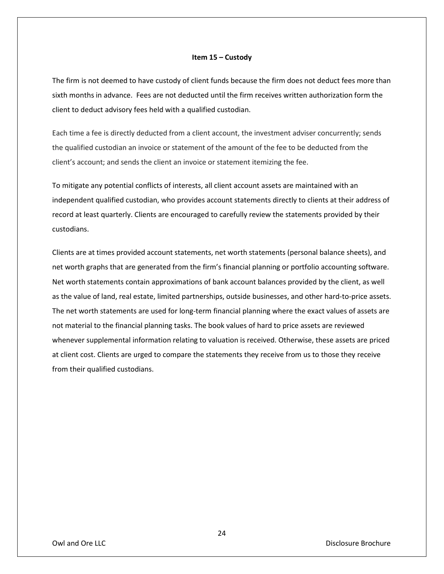#### **Item 15 – Custody**

The firm is not deemed to have custody of client funds because the firm does not deduct fees more than sixth months in advance. Fees are not deducted until the firm receives written authorization form the client to deduct advisory fees held with a qualified custodian.

Each time a fee is directly deducted from a client account, the investment adviser concurrently; sends the qualified custodian an invoice or statement of the amount of the fee to be deducted from the client's account; and sends the client an invoice or statement itemizing the fee.

To mitigate any potential conflicts of interests, all client account assets are maintained with an independent qualified custodian, who provides account statements directly to clients at their address of record at least quarterly. Clients are encouraged to carefully review the statements provided by their custodians.

Clients are at times provided account statements, net worth statements (personal balance sheets), and net worth graphs that are generated from the firm's financial planning or portfolio accounting software. Net worth statements contain approximations of bank account balances provided by the client, as well as the value of land, real estate, limited partnerships, outside businesses, and other hard-to-price assets. The net worth statements are used for long-term financial planning where the exact values of assets are not material to the financial planning tasks. The book values of hard to price assets are reviewed whenever supplemental information relating to valuation is received. Otherwise, these assets are priced at client cost. Clients are urged to compare the statements they receive from us to those they receive from their qualified custodians.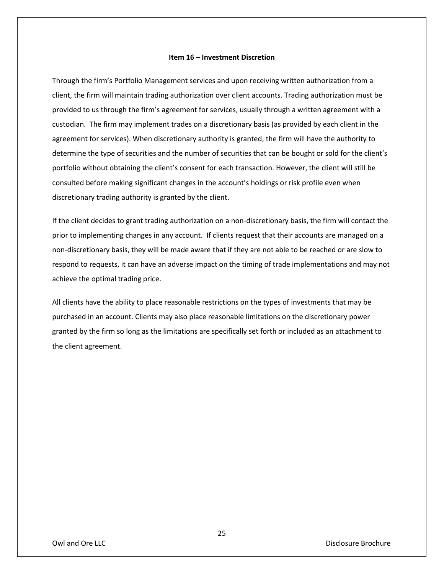#### **Item 16 – Investment Discretion**

Through the firm's Portfolio Management services and upon receiving written authorization from a client, the firm will maintain trading authorization over client accounts. Trading authorization must be provided to us through the firm's agreement for services, usually through a written agreement with a custodian. The firm may implement trades on a discretionary basis (as provided by each client in the agreement for services). When discretionary authority is granted, the firm will have the authority to determine the type of securities and the number of securities that can be bought or sold for the client's portfolio without obtaining the client's consent for each transaction. However, the client will still be consulted before making significant changes in the account's holdings or risk profile even when discretionary trading authority is granted by the client.

If the client decides to grant trading authorization on a non-discretionary basis, the firm will contact the prior to implementing changes in any account. If clients request that their accounts are managed on a non-discretionary basis, they will be made aware that if they are not able to be reached or are slow to respond to requests, it can have an adverse impact on the timing of trade implementations and may not achieve the optimal trading price.

All clients have the ability to place reasonable restrictions on the types of investments that may be purchased in an account. Clients may also place reasonable limitations on the discretionary power granted by the firm so long as the limitations are specifically set forth or included as an attachment to the client agreement.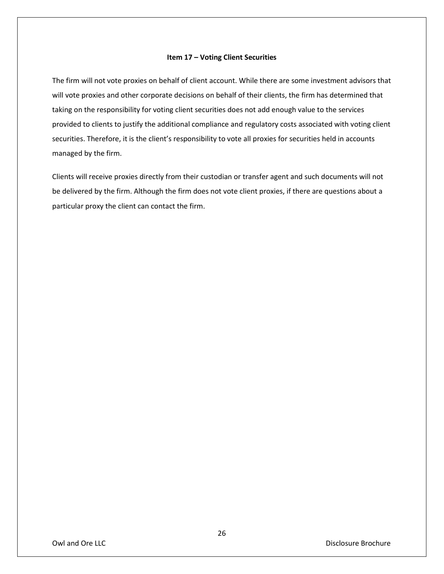### **Item 17 – Voting Client Securities**

The firm will not vote proxies on behalf of client account. While there are some investment advisors that will vote proxies and other corporate decisions on behalf of their clients, the firm has determined that taking on the responsibility for voting client securities does not add enough value to the services provided to clients to justify the additional compliance and regulatory costs associated with voting client securities. Therefore, it is the client's responsibility to vote all proxies for securities held in accounts managed by the firm.

Clients will receive proxies directly from their custodian or transfer agent and such documents will not be delivered by the firm. Although the firm does not vote client proxies, if there are questions about a particular proxy the client can contact the firm.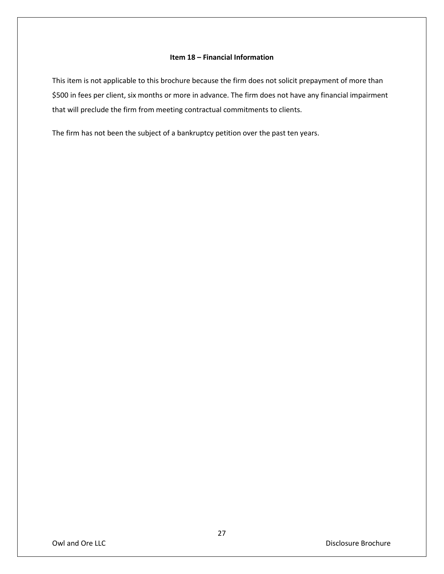## **Item 18 – Financial Information**

This item is not applicable to this brochure because the firm does not solicit prepayment of more than \$500 in fees per client, six months or more in advance. The firm does not have any financial impairment that will preclude the firm from meeting contractual commitments to clients.

The firm has not been the subject of a bankruptcy petition over the past ten years.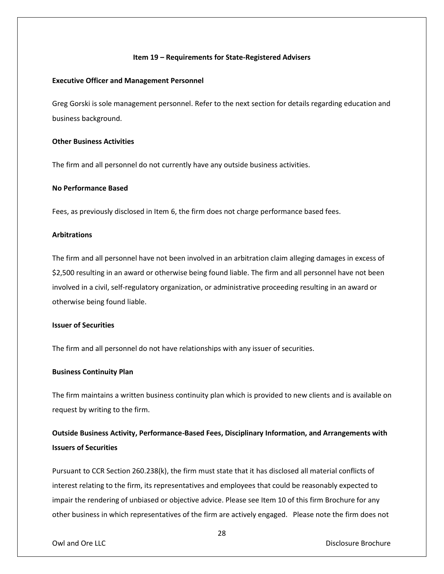#### **Item 19 – Requirements for State-Registered Advisers**

### **Executive Officer and Management Personnel**

Greg Gorski is sole management personnel. Refer to the next section for details regarding education and business background.

## **Other Business Activities**

The firm and all personnel do not currently have any outside business activities.

## **No Performance Based**

Fees, as previously disclosed in Item 6, the firm does not charge performance based fees.

## **Arbitrations**

The firm and all personnel have not been involved in an arbitration claim alleging damages in excess of \$2,500 resulting in an award or otherwise being found liable. The firm and all personnel have not been involved in a civil, self-regulatory organization, or administrative proceeding resulting in an award or otherwise being found liable.

### **Issuer of Securities**

The firm and all personnel do not have relationships with any issuer of securities.

## **Business Continuity Plan**

The firm maintains a written business continuity plan which is provided to new clients and is available on request by writing to the firm.

## **Outside Business Activity, Performance-Based Fees, Disciplinary Information, and Arrangements with Issuers of Securities**

Pursuant to CCR Section 260.238(k), the firm must state that it has disclosed all material conflicts of interest relating to the firm, its representatives and employees that could be reasonably expected to impair the rendering of unbiased or objective advice. Please see Item 10 of this firm Brochure for any other business in which representatives of the firm are actively engaged. Please note the firm does not